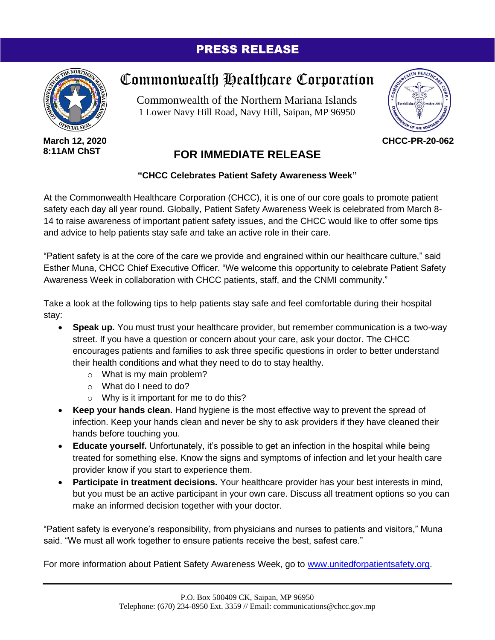## PRESS RELEASE



**March 12, 2020 8:11AM ChST**

## Commonwealth Healthcare Corporation

Commonwealth of the Northern Mariana Islands 1 Lower Navy Hill Road, Navy Hill, Saipan, MP 96950



**CHCC-PR-20-062**

## **FOR IMMEDIATE RELEASE**

## **"CHCC Celebrates Patient Safety Awareness Week"**

At the Commonwealth Healthcare Corporation (CHCC), it is one of our core goals to promote patient safety each day all year round. Globally, Patient Safety Awareness Week is celebrated from March 8-14 to raise awareness of important patient safety issues, and the CHCC would like to offer some tips and advice to help patients stay safe and take an active role in their care.

"Patient safety is at the core of the care we provide and engrained within our healthcare culture," said Esther Muna, CHCC Chief Executive Officer. "We welcome this opportunity to celebrate Patient Safety Awareness Week in collaboration with CHCC patients, staff, and the CNMI community."

Take a look at the following tips to help patients stay safe and feel comfortable during their hospital stay:

- **Speak up.** You must trust your healthcare provider, but remember communication is a two-way street. If you have a question or concern about your care, ask your doctor. The CHCC encourages patients and families to ask three specific questions in order to better understand their health conditions and what they need to do to stay healthy.
	- o What is my main problem?
	- o What do I need to do?
	- o Why is it important for me to do this?
- **Keep your hands clean.** Hand hygiene is the most effective way to prevent the spread of infection. Keep your hands clean and never be shy to ask providers if they have cleaned their hands before touching you.
- **Educate yourself.** Unfortunately, it's possible to get an infection in the hospital while being treated for something else. Know the signs and symptoms of infection and let your health care provider know if you start to experience them.
- **Participate in treatment decisions.** Your healthcare provider has your best interests in mind, but you must be an active participant in your own care. Discuss all treatment options so you can make an informed decision together with your doctor.

"Patient safety is everyone's responsibility, from physicians and nurses to patients and visitors," Muna said. "We must all work together to ensure patients receive the best, safest care."

For more information about Patient Safety Awareness Week, go to [www.unitedforpatientsafety.org.](http://www.unitedforpatientsafety.org/)